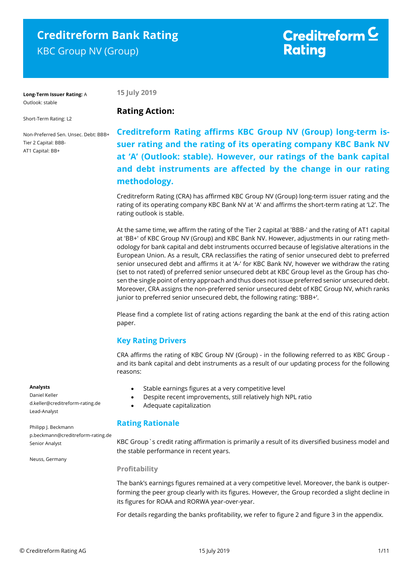# **Creditreform Bank Rating** KBC Group NV (Group)

# Creditreform  $\subseteq$ **Rating**

**Long-Term Issuer Rating:** A Outlook: stable

**15 July 2019**

Short-Term Rating: L2

Non-Preferred Sen. Unsec. Debt: BBB+ Tier 2 Capital: BBB-AT1 Capital: BB+

# **Rating Action:**

**Creditreform Rating affirms KBC Group NV (Group) long-term issuer rating and the rating of its operating company KBC Bank NV at 'A' (Outlook: stable). However, our ratings of the bank capital and debt instruments are affected by the change in our rating methodology.**

Creditreform Rating (CRA) has affirmed KBC Group NV (Group) long-term issuer rating and the rating of its operating company KBC Bank NV at 'A' and affirms the short-term rating at 'L2'. The rating outlook is stable.

At the same time, we affirm the rating of the Tier 2 capital at 'BBB-' and the rating of AT1 capital at 'BB+' of KBC Group NV (Group) and KBC Bank NV. However, adjustments in our rating methodology for bank capital and debt instruments occurred because of legislative alterations in the European Union. As a result, CRA reclassifies the rating of senior unsecured debt to preferred senior unsecured debt and affirms it at 'A-' for KBC Bank NV, however we withdraw the rating (set to not rated) of preferred senior unsecured debt at KBC Group level as the Group has chosen the single point of entry approach and thus does not issue preferred senior unsecured debt. Moreover, CRA assigns the non-preferred senior unsecured debt of KBC Group NV, which ranks junior to preferred senior unsecured debt, the following rating: 'BBB+'.

Please find a complete list of rating actions regarding the bank at the end of this rating action paper.

# **Key Rating Drivers**

CRA affirms the rating of KBC Group NV (Group) - in the following referred to as KBC Group and its bank capital and debt instruments as a result of our updating process for the following reasons:

- Stable earnings figures at a very competitive level
- Despite recent improvements, still relatively high NPL ratio
- Adequate capitalization

## **Rating Rationale**

KBC Group`s credit rating affirmation is primarily a result of its diversified business model and the stable performance in recent years.

#### **Profitability**

The bank's earnings figures remained at a very competitive level. Moreover, the bank is outperforming the peer group clearly with its figures. However, the Group recorded a slight decline in its figures for ROAA and RORWA year-over-year.

For details regarding the banks profitability, we refer to figure 2 and figure 3 in the appendix.

#### **Analysts**

Daniel Keller d.keller@creditreform-rating.de Lead-Analyst

Philipp J. Beckmann p.beckmann@creditreform-rating.de Senior Analyst

Neuss, Germany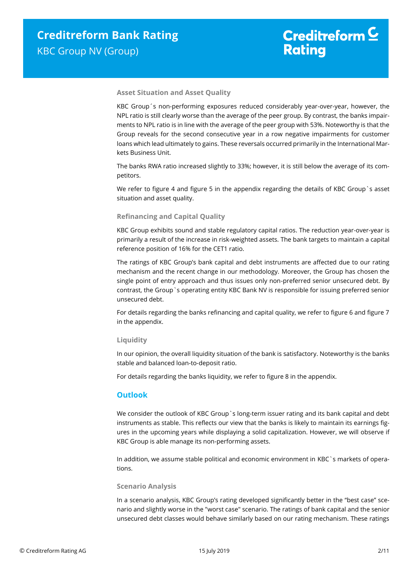#### **Asset Situation and Asset Quality**

KBC Group´s non-performing exposures reduced considerably year-over-year, however, the NPL ratio is still clearly worse than the average of the peer group. By contrast, the banks impairments to NPL ratio is in line with the average of the peer group with 53%. Noteworthy is that the Group reveals for the second consecutive year in a row negative impairments for customer loans which lead ultimately to gains. These reversals occurred primarily in the International Markets Business Unit.

The banks RWA ratio increased slightly to 33%; however, it is still below the average of its competitors.

We refer to figure 4 and figure 5 in the appendix regarding the details of KBC Group `s asset situation and asset quality.

#### **Refinancing and Capital Quality**

KBC Group exhibits sound and stable regulatory capital ratios. The reduction year-over-year is primarily a result of the increase in risk-weighted assets. The bank targets to maintain a capital reference position of 16% for the CET1 ratio.

The ratings of KBC Group's bank capital and debt instruments are affected due to our rating mechanism and the recent change in our methodology. Moreover, the Group has chosen the single point of entry approach and thus issues only non-preferred senior unsecured debt. By contrast, the Group`s operating entity KBC Bank NV is responsible for issuing preferred senior unsecured debt.

For details regarding the banks refinancing and capital quality, we refer to figure 6 and figure 7 in the appendix.

#### **Liquidity**

In our opinion, the overall liquidity situation of the bank is satisfactory. Noteworthy is the banks stable and balanced loan-to-deposit ratio.

For details regarding the banks liquidity, we refer to figure 8 in the appendix.

#### **Outlook**

We consider the outlook of KBC Group`s long-term issuer rating and its bank capital and debt instruments as stable. This reflects our view that the banks is likely to maintain its earnings figures in the upcoming years while displaying a solid capitalization. However, we will observe if KBC Group is able manage its non-performing assets.

In addition, we assume stable political and economic environment in KBC`s markets of operations.

#### **Scenario Analysis**

In a scenario analysis, KBC Group's rating developed significantly better in the "best case" scenario and slightly worse in the "worst case" scenario. The ratings of bank capital and the senior unsecured debt classes would behave similarly based on our rating mechanism. These ratings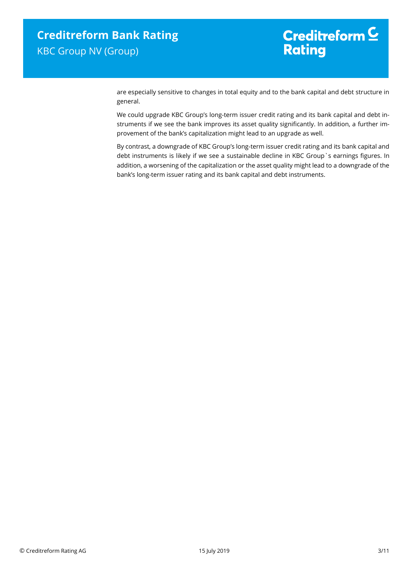# Creditreform  $\underline{\mathsf{C}}$ **Rating**

are especially sensitive to changes in total equity and to the bank capital and debt structure in general.

We could upgrade KBC Group's long-term issuer credit rating and its bank capital and debt instruments if we see the bank improves its asset quality significantly. In addition, a further improvement of the bank's capitalization might lead to an upgrade as well.

By contrast, a downgrade of KBC Group's long-term issuer credit rating and its bank capital and debt instruments is likely if we see a sustainable decline in KBC Group`s earnings figures. In addition, a worsening of the capitalization or the asset quality might lead to a downgrade of the bank's long-term issuer rating and its bank capital and debt instruments.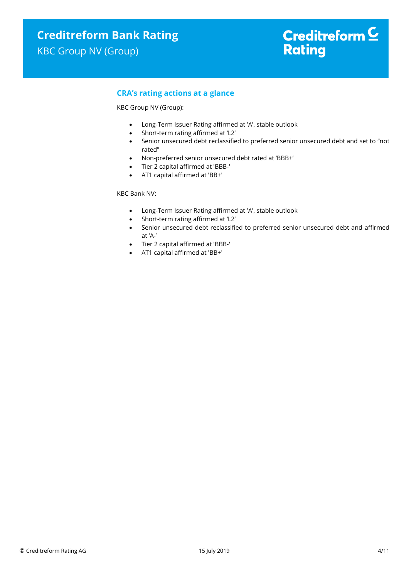## **CRA's rating actions at a glance**

KBC Group NV (Group):

- Long-Term Issuer Rating affirmed at 'A', stable outlook
- Short-term rating affirmed at 'L2'
- Senior unsecured debt reclassified to preferred senior unsecured debt and set to "not rated"
- Non-preferred senior unsecured debt rated at 'BBB+'
- Tier 2 capital affirmed at 'BBB-'
- AT1 capital affirmed at 'BB+'

KBC Bank NV:

- Long-Term Issuer Rating affirmed at 'A', stable outlook
- Short-term rating affirmed at 'L2'
- Senior unsecured debt reclassified to preferred senior unsecured debt and affirmed at 'A-'
- Tier 2 capital affirmed at 'BBB-'
- AT1 capital affirmed at 'BB+'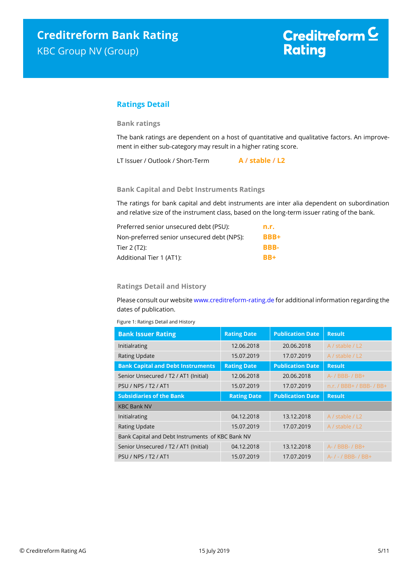## **Ratings Detail**

#### **Bank ratings**

The bank ratings are dependent on a host of quantitative and qualitative factors. An improvement in either sub-category may result in a higher rating score.

LT Issuer / Outlook / Short-Term **A / stable / L2**

#### **Bank Capital and Debt Instruments Ratings**

The ratings for bank capital and debt instruments are inter alia dependent on subordination and relative size of the instrument class, based on the long-term issuer rating of the bank.

| Preferred senior unsecured debt (PSU):     | n.r.        |
|--------------------------------------------|-------------|
| Non-preferred senior unsecured debt (NPS): | <b>BBB+</b> |
| Tier 2 (T2):                               | BBB-        |
| Additional Tier 1 (AT1):                   | $RR+$       |

#### **Ratings Detail and History**

Please consult our websit[e www.creditreform-rating.de](http://www.creditreform-rating.de/) for additional information regarding the dates of publication.

Figure 1: Ratings Detail and History

| <b>Bank Issuer Rating</b>                        | <b>Rating Date</b> | <b>Publication Date</b> | <b>Result</b>            |
|--------------------------------------------------|--------------------|-------------------------|--------------------------|
| Initialrating                                    | 12.06.2018         | 20.06.2018              | A / stable / L2          |
| <b>Rating Update</b>                             | 15.07.2019         | 17.07.2019              | A / stable / L2          |
| <b>Bank Capital and Debt Instruments</b>         | <b>Rating Date</b> | <b>Publication Date</b> | <b>Result</b>            |
| Senior Unsecured / T2 / AT1 (Initial)            | 12.06.2018         | 20.06.2018              | A- / BBB- / BB+          |
| <b>PSU / NPS / T2 / AT1</b>                      | 15.07.2019         | 17.07.2019              | n.r. / BBB+ / BBB- / BB+ |
| <b>Subsidiaries of the Bank</b>                  | <b>Rating Date</b> | <b>Publication Date</b> | <b>Result</b>            |
| <b>KBC Bank NV</b>                               |                    |                         |                          |
| Initialrating                                    | 04.12.2018         | 13.12.2018              | A / stable / L2          |
| <b>Rating Update</b>                             | 15.07.2019         | 17.07.2019              | A / stable / L2          |
| Bank Capital and Debt Instruments of KBC Bank NV |                    |                         |                          |
| Senior Unsecured / T2 / AT1 (Initial)            | 04.12.2018         | 13.12.2018              | $A - / BBB - / BB +$     |
| <b>PSU / NPS / T2 / AT1</b>                      | 15.07.2019         | 17.07.2019              | $A - / - /$ BBB- / BB+   |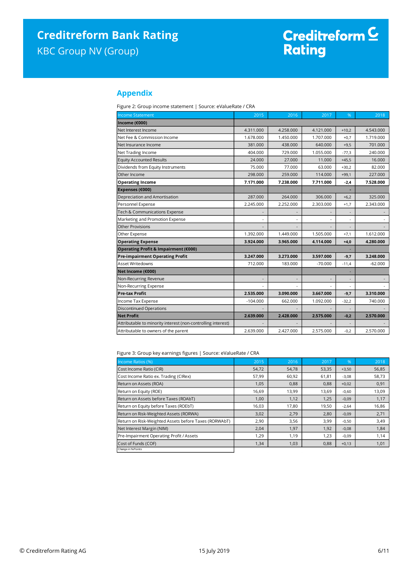## **Appendix**

Figure 2: Group income statement | Source: eValueRate / CRA

| <b>Income Statement</b>                                      | 2015                     | 2016      | $\overline{20}17$ | %                        | 2018      |
|--------------------------------------------------------------|--------------------------|-----------|-------------------|--------------------------|-----------|
| Income (€000)                                                |                          |           |                   |                          |           |
| Net Interest Income                                          | 4.311.000                | 4.258.000 | 4.121.000         | $+10,2$                  | 4.543.000 |
| Net Fee & Commission Income                                  | 1.678.000                | 1.450.000 | 1.707.000         | $+0.7$                   | 1.719.000 |
| Net Insurance Income                                         | 381.000                  | 438,000   | 640.000           | $+9,5$                   | 701.000   |
| Net Trading Income                                           | 404.000                  | 729.000   | 1.055.000         | $-77,3$                  | 240.000   |
| <b>Equity Accounted Results</b>                              | 24.000                   | 27,000    | 11.000            | $+45,5$                  | 16.000    |
| Dividends from Equity Instruments                            | 75.000                   | 77.000    | 63.000            | $+30.2$                  | 82.000    |
| Other Income                                                 | 298.000                  | 259,000   | 114.000           | $+99,1$                  | 227.000   |
| <b>Operating Income</b>                                      | 7.171.000                | 7.238.000 | 7.711.000         | $-2,4$                   | 7.528.000 |
| Expenses (€000)                                              |                          |           |                   |                          |           |
| Depreciation and Amortisation                                | 287.000                  | 264.000   | 306.000           | $+6,2$                   | 325.000   |
| Personnel Expense                                            | 2.245.000                | 2.252.000 | 2.303.000         | $+1,7$                   | 2.343.000 |
| Tech & Communications Expense                                |                          |           |                   |                          |           |
| Marketing and Promotion Expense                              | $\overline{a}$           |           |                   | $\sim$                   |           |
| <b>Other Provisions</b>                                      |                          |           |                   | $\overline{\phantom{a}}$ |           |
| Other Expense                                                | 1.392.000                | 1.449.000 | 1.505.000         | $+7,1$                   | 1.612.000 |
| <b>Operating Expense</b>                                     | 3.924.000                | 3.965.000 | 4.114.000         | $+4,0$                   | 4.280.000 |
| Operating Profit & Impairment (€000)                         |                          |           |                   |                          |           |
| <b>Pre-impairment Operating Profit</b>                       | 3.247.000                | 3.273.000 | 3.597.000         | $-9,7$                   | 3.248.000 |
| <b>Asset Writedowns</b>                                      | 712.000                  | 183.000   | $-70.000$         | $-11,4$                  | $-62.000$ |
| Net Income (€000)                                            |                          |           |                   |                          |           |
| Non-Recurring Revenue                                        | $\overline{\phantom{a}}$ |           |                   | $\overline{\phantom{a}}$ |           |
| Non-Recurring Expense                                        |                          |           |                   |                          |           |
| <b>Pre-tax Profit</b>                                        | 2.535.000                | 3.090.000 | 3.667.000         | $-9,7$                   | 3.310.000 |
| Income Tax Expense                                           | $-104.000$               | 662.000   | 1.092.000         | $-32,2$                  | 740.000   |
| <b>Discontinued Operations</b>                               |                          |           |                   |                          |           |
| <b>Net Profit</b>                                            | 2.639.000                | 2.428.000 | 2.575.000         | $-0,2$                   | 2.570.000 |
| Attributable to minority interest (non-controlling interest) |                          |           |                   |                          |           |
| Attributable to owners of the parent                         | 2.639.000                | 2.427.000 | 2.575.000         | $-0,2$                   | 2.570.000 |

Figure 3: Group key earnings figures | Source: eValueRate / CRA

| Income Ratios (%)                                     | 2015  | 2016  | 2017  | $\%$    | 2018  |
|-------------------------------------------------------|-------|-------|-------|---------|-------|
| Cost Income Ratio (CIR)                               | 54,72 | 54,78 | 53,35 | $+3,50$ | 56,85 |
| Cost Income Ratio ex. Trading (CIRex)                 | 57,99 | 60,92 | 61,81 | $-3,08$ | 58,73 |
| Return on Assets (ROA)                                | 1,05  | 0,88  | 0,88  | $+0,02$ | 0,91  |
| Return on Equity (ROE)                                | 16,69 | 13,99 | 13,69 | $-0,60$ | 13,09 |
| Return on Assets before Taxes (ROAbT)                 | 1,00  | 1,12  | 1,25  | $-0,09$ | 1,17  |
| Return on Equity before Taxes (ROEbT)                 | 16,03 | 17,80 | 19,50 | $-2,64$ | 16,86 |
| Return on Risk-Weighted Assets (RORWA)                | 3,02  | 2,79  | 2,80  | $-0,09$ | 2,71  |
| Return on Risk-Weighted Assets before Taxes (RORWAbT) | 2,90  | 3,56  | 3,99  | $-0,50$ | 3,49  |
| Net Interest Margin (NIM)                             | 2,04  | 1,97  | 1,92  | $-0,08$ | 1,84  |
| Pre-Impairment Operating Profit / Assets              | 1,29  | 1,19  | 1,23  | $-0,09$ | 1,14  |
| Cost of Funds (COF)                                   | 1,34  | 1,03  | 0,88  | $+0,13$ | 1,01  |
| Change in % Points                                    |       |       |       |         |       |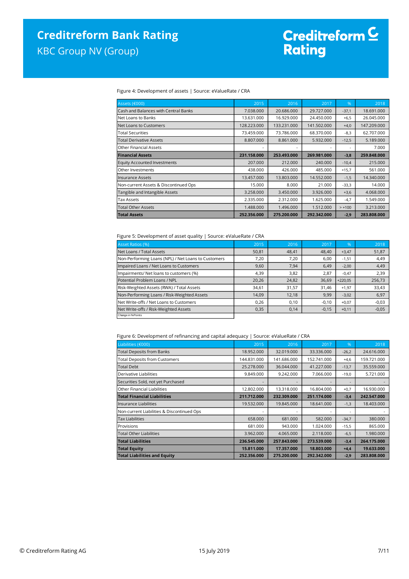# Creditreform C<br>Rating

Figure 4: Development of assets | Source: eValueRate / CRA

| Assets (€000)                         | 2015        | 2016        | 2017        | $\%$                     | 2018        |
|---------------------------------------|-------------|-------------|-------------|--------------------------|-------------|
| Cash and Balances with Central Banks  | 7.038.000   | 20.686.000  | 29.727.000  | $-37,1$                  | 18.691.000  |
| Net Loans to Banks                    | 13.631.000  | 16.929.000  | 24.450.000  | $+6,5$                   | 26.045.000  |
| Net Loans to Customers                | 128.223.000 | 133.231.000 | 141.502.000 | $+4,0$                   | 147.209.000 |
| <b>Total Securities</b>               | 73.459.000  | 73.786.000  | 68.370.000  | $-8,3$                   | 62.707.000  |
| <b>Total Derivative Assets</b>        | 8.807.000   | 8.861.000   | 5.932.000   | $-12,5$                  | 5.189.000   |
| <b>Other Financial Assets</b>         |             |             |             | $\overline{\phantom{a}}$ | 7.000       |
| <b>Financial Assets</b>               | 231.158.000 | 253.493.000 | 269.981.000 | $-3,8$                   | 259.848.000 |
| <b>Equity Accounted Investments</b>   | 207.000     | 212,000     | 240,000     | $-10,4$                  | 215.000     |
| Other Investments                     | 438.000     | 426.000     | 485.000     | $+15,7$                  | 561.000     |
| Insurance Assets                      | 13.457.000  | 13.803.000  | 14.552.000  | $-1,5$                   | 14.340.000  |
| Non-current Assets & Discontinued Ops | 15.000      | 8.000       | 21.000      | $-33,3$                  | 14.000      |
| Tangible and Intangible Assets        | 3.258.000   | 3.450.000   | 3.926.000   | $+3,6$                   | 4.068.000   |
| <b>Tax Assets</b>                     | 2.335.000   | 2.312.000   | 1.625.000   | $-4,7$                   | 1.549.000   |
| <b>Total Other Assets</b>             | 1.488.000   | 1.496.000   | 1.512.000   | $> +100$                 | 3.213.000   |
| <b>Total Assets</b>                   | 252.356.000 | 275.200.000 | 292.342.000 | $-2,9$                   | 283.808.000 |

#### Figure 5: Development of asset quality | Source: eValueRate / CRA

| <b>Asset Ratios (%)</b>                             | 2015                               | 2016  | 2017    | $\sqrt{96}$ | 2018    |
|-----------------------------------------------------|------------------------------------|-------|---------|-------------|---------|
| Net Loans / Total Assets                            | 50,81                              | 48,41 | 48,40   | $+3,47$     | 51,87   |
| Non-Performing Loans (NPL) / Net Loans to Customers | 7,20                               | 7,20  | 6,00    | $-1,51$     | 4,49    |
| Impaired Loans / Net Loans to Customers             | 9,60                               | 7,94  | 6,49    | $-2,00$     | 4,49    |
| Impairments/ Net loans to customers (%)             | 4,39                               | 3,82  | 2,87    | $-0,47$     | 2,39    |
| Potential Problem Loans / NPL                       | 20,26                              | 24,82 | 36,69   | $+220.05$   | 256,73  |
| Risk-Weighted Assets (RWA) / Total Assets           | 34,61                              | 31,57 | 31,46   | $+1,97$     | 33,43   |
| Non-Performing Loans / Risk-Weighted Assets         | 14.09                              | 12,18 | 9,99    | $-3,02$     | 6,97    |
| Net Write-offs / Net Loans to Customers             | 0,26                               | 0,10  | $-0,10$ | $+0,07$     | $-0,03$ |
| Net Write-offs / Risk-Weighted Assets               | 0,35<br>$-0,15$<br>0,14<br>$+0,11$ |       | $-0,05$ |             |         |
| Change in % Points                                  |                                    |       |         |             |         |

#### Figure 6: Development of refinancing and capital adequacy | Source: eValueRate / CRA

| Liabilities (€000)                         | 2015        | 2016        | 2017        | %                        | 2018        |
|--------------------------------------------|-------------|-------------|-------------|--------------------------|-------------|
| <b>Total Deposits from Banks</b>           | 18.952.000  | 32.019.000  | 33.336.000  | $-26,2$                  | 24.616.000  |
| <b>Total Deposits from Customers</b>       | 144.831.000 | 141.686.000 | 152.741.000 | $+4,6$                   | 159.721.000 |
| <b>Total Debt</b>                          | 25.278.000  | 36.044.000  | 41.227.000  | $-13,7$                  | 35.559.000  |
| Derivative Liabilities                     | 9.849.000   | 9.242.000   | 7.066.000   | $-19,0$                  | 5.721.000   |
| Securities Sold, not yet Purchased         |             |             |             | $\overline{\phantom{a}}$ |             |
| Other Financial Liabilities                | 12.802.000  | 13.318.000  | 16.804.000  | $+0,7$                   | 16.930.000  |
| <b>Total Financial Liabilities</b>         | 211.712.000 | 232.309.000 | 251.174.000 | $-3,4$                   | 242.547.000 |
| llnsurance Liabilities                     | 19.532.000  | 19.845.000  | 18.641.000  | $-1,3$                   | 18.403.000  |
| Non-current Liabilities & Discontinued Ops | ٠           |             |             | ٠                        |             |
| <b>Tax Liabilities</b>                     | 658,000     | 681,000     | 582.000     | $-34,7$                  | 380.000     |
| Provisions                                 | 681.000     | 943.000     | 1.024.000   | $-15,5$                  | 865.000     |
| <b>Total Other Liabilities</b>             | 3.962.000   | 4.065.000   | 2.118.000   | $-6,5$                   | 1.980.000   |
| <b>Total Liabilities</b>                   | 236.545.000 | 257.843.000 | 273.539.000 | $-3,4$                   | 264.175.000 |
| <b>Total Equity</b>                        | 15.811.000  | 17.357.000  | 18.803.000  | $+4.4$                   | 19.633.000  |
| <b>Total Liabilities and Equity</b>        | 252.356.000 | 275.200.000 | 292.342.000 | $-2,9$                   | 283.808.000 |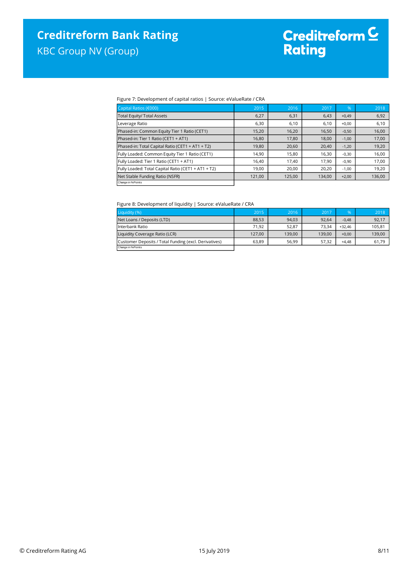#### Figure 7: Development of capital ratios | Source: eValueRate / CRA

| Capital Ratios (€000)                               | 2015   | 2016   | 2017   | $\frac{9}{6}$ | 2018   |
|-----------------------------------------------------|--------|--------|--------|---------------|--------|
| <b>Total Equity/ Total Assets</b>                   | 6,27   | 6,31   | 6,43   | $+0,49$       | 6,92   |
| Leverage Ratio                                      | 6,30   | 6,10   | 6,10   | $+0,00$       | 6,10   |
| Phased-in: Common Equity Tier 1 Ratio (CET1)        | 15,20  | 16,20  | 16,50  | $-0,50$       | 16,00  |
| Phased-in: Tier 1 Ratio (CET1 + AT1)                | 16,80  | 17,80  | 18,00  | $-1,00$       | 17,00  |
| Phased-in: Total Capital Ratio (CET1 + AT1 + T2)    | 19,80  | 20,60  | 20,40  | $-1,20$       | 19,20  |
| Fully Loaded: Common Equity Tier 1 Ratio (CET1)     | 14,90  | 15,80  | 16,30  | $-0,30$       | 16,00  |
| Fully Loaded: Tier 1 Ratio (CET1 + AT1)             | 16,40  | 17,40  | 17,90  | $-0,90$       | 17,00  |
| Fully Loaded: Total Capital Ratio (CET1 + AT1 + T2) | 19,00  | 20,00  | 20,20  | $-1,00$       | 19,20  |
| Net Stable Funding Ratio (NSFR)                     | 121,00 | 125,00 | 134,00 | $+2,00$       | 136,00 |
| Change in % Points                                  |        |        |        |               |        |

#### Figure 8: Development of liquidity | Source: eValueRate / CRA

| Liquidity (%)                                         | 2015   | 2016   | 2017   | $\%$     | 2018   |
|-------------------------------------------------------|--------|--------|--------|----------|--------|
| Net Loans / Deposits (LTD)                            | 88.53  | 94,03  | 92.64  | $-0.48$  | 92,17  |
| Interbank Ratio                                       | 71.92  | 52.87  | 73.34  | $+32.46$ | 105.81 |
| Liquidity Coverage Ratio (LCR)                        | 127.00 | 139.00 | 139.00 | $+0.00$  | 139,00 |
| Customer Deposits / Total Funding (excl. Derivatives) | 63.89  | 56.99  | 57.32  | $+4.48$  | 61,79  |
| Change in % Points                                    |        |        |        |          |        |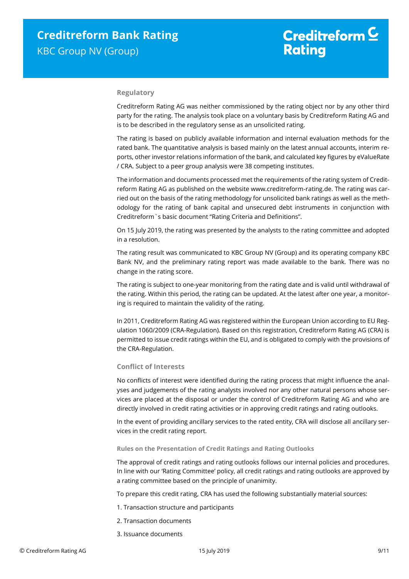#### **Regulatory**

Creditreform Rating AG was neither commissioned by the rating object nor by any other third party for the rating. The analysis took place on a voluntary basis by Creditreform Rating AG and is to be described in the regulatory sense as an unsolicited rating.

The rating is based on publicly available information and internal evaluation methods for the rated bank. The quantitative analysis is based mainly on the latest annual accounts, interim reports, other investor relations information of the bank, and calculated key figures by eValueRate / CRA. Subject to a peer group analysis were 38 competing institutes.

The information and documents processed met the requirements of the rating system of Creditreform Rating AG as published on the website www.creditreform-rating.de. The rating was carried out on the basis of the rating methodology for unsolicited bank ratings as well as the methodology for the rating of bank capital and unsecured debt instruments in conjunction with Creditreform`s basic document "Rating Criteria and Definitions".

On 15 July 2019, the rating was presented by the analysts to the rating committee and adopted in a resolution.

The rating result was communicated to KBC Group NV (Group) and its operating company KBC Bank NV, and the preliminary rating report was made available to the bank. There was no change in the rating score.

The rating is subject to one-year monitoring from the rating date and is valid until withdrawal of the rating. Within this period, the rating can be updated. At the latest after one year, a monitoring is required to maintain the validity of the rating.

In 2011, Creditreform Rating AG was registered within the European Union according to EU Regulation 1060/2009 (CRA-Regulation). Based on this registration, Creditreform Rating AG (CRA) is permitted to issue credit ratings within the EU, and is obligated to comply with the provisions of the CRA-Regulation.

#### **Conflict of Interests**

No conflicts of interest were identified during the rating process that might influence the analyses and judgements of the rating analysts involved nor any other natural persons whose services are placed at the disposal or under the control of Creditreform Rating AG and who are directly involved in credit rating activities or in approving credit ratings and rating outlooks.

In the event of providing ancillary services to the rated entity, CRA will disclose all ancillary services in the credit rating report.

#### **Rules on the Presentation of Credit Ratings and Rating Outlooks**

The approval of credit ratings and rating outlooks follows our internal policies and procedures. In line with our 'Rating Committee' policy, all credit ratings and rating outlooks are approved by a rating committee based on the principle of unanimity.

To prepare this credit rating, CRA has used the following substantially material sources:

- 1. Transaction structure and participants
- 2. Transaction documents
- 3. Issuance documents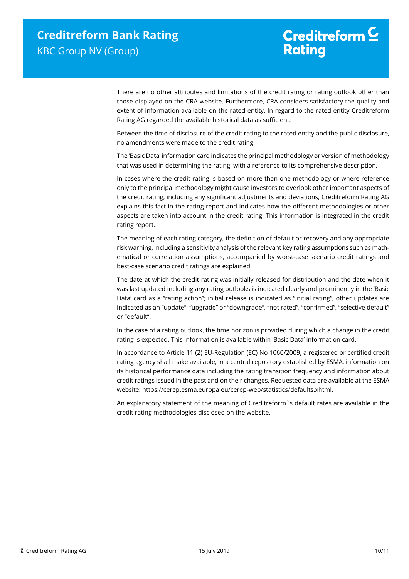# Creditreform  $C$ **Rating**

There are no other attributes and limitations of the credit rating or rating outlook other than those displayed on the CRA website. Furthermore, CRA considers satisfactory the quality and extent of information available on the rated entity. In regard to the rated entity Creditreform Rating AG regarded the available historical data as sufficient.

Between the time of disclosure of the credit rating to the rated entity and the public disclosure, no amendments were made to the credit rating.

The 'Basic Data' information card indicates the principal methodology or version of methodology that was used in determining the rating, with a reference to its comprehensive description.

In cases where the credit rating is based on more than one methodology or where reference only to the principal methodology might cause investors to overlook other important aspects of the credit rating, including any significant adjustments and deviations, Creditreform Rating AG explains this fact in the rating report and indicates how the different methodologies or other aspects are taken into account in the credit rating. This information is integrated in the credit rating report.

The meaning of each rating category, the definition of default or recovery and any appropriate risk warning, including a sensitivity analysis of the relevant key rating assumptions such as mathematical or correlation assumptions, accompanied by worst-case scenario credit ratings and best-case scenario credit ratings are explained.

The date at which the credit rating was initially released for distribution and the date when it was last updated including any rating outlooks is indicated clearly and prominently in the 'Basic Data' card as a "rating action"; initial release is indicated as "initial rating", other updates are indicated as an "update", "upgrade" or "downgrade", "not rated", "confirmed", "selective default" or "default".

In the case of a rating outlook, the time horizon is provided during which a change in the credit rating is expected. This information is available within 'Basic Data' information card.

In accordance to Article 11 (2) EU-Regulation (EC) No 1060/2009, a registered or certified credit rating agency shall make available, in a central repository established by ESMA, information on its historical performance data including the rating transition frequency and information about credit ratings issued in the past and on their changes. Requested data are available at the ESMA website: https://cerep.esma.europa.eu/cerep-web/statistics/defaults.xhtml.

An explanatory statement of the meaning of Creditreform`s default rates are available in the credit rating methodologies disclosed on the website.